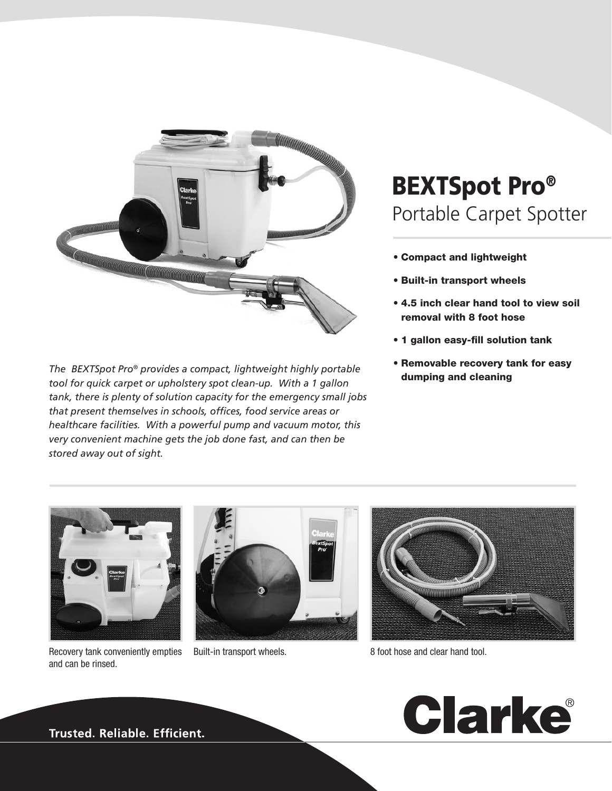

*The BEXTSpot Pro® provides a compact, lightweight highly portable tool for quick carpet or upholstery spot clean-up. With a 1 gallon tank, there is plenty of solution capacity for the emergency small jobs that present themselves in schools, offices, food service areas or healthcare facilities. With a powerful pump and vacuum motor, this very convenient machine gets the job done fast, and can then be stored away out of sight.*

## BEXTSpot Pro® Portable Carpet Spotter

- Compact and lightweight
- Built-in transport wheels
- 4.5 inch clear hand tool to view soil removal with 8 foot hose
- 1 gallon easy-fill solution tank
- Removable recovery tank for easy dumping and cleaning



Recovery tank conveniently empties and can be rinsed.





Built-in transport wheels. 8 foot hose and clear hand tool.



**Trusted. Reliable. Efficient.**